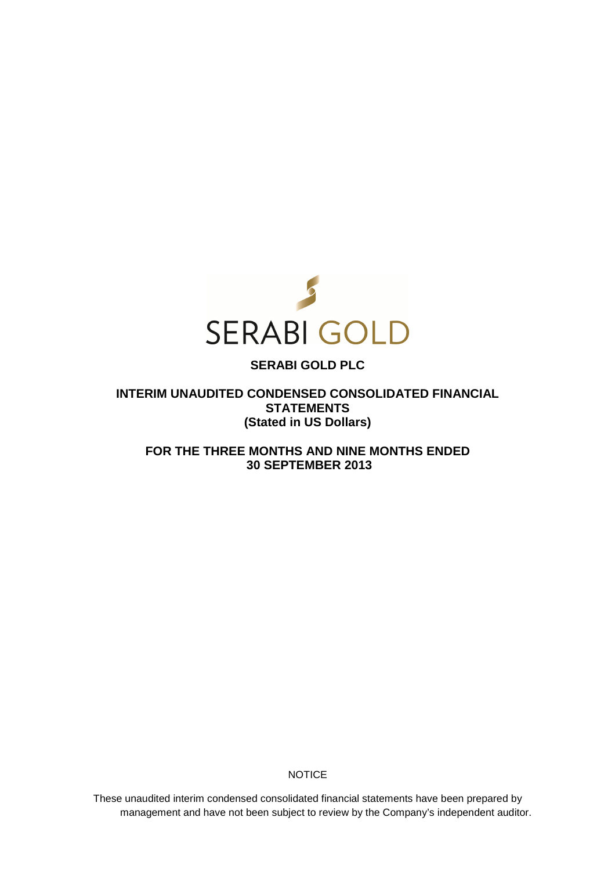

# **SERABI GOLD PLC**

**INTERIM UNAUDITED CONDENSED CONSOLIDATED FINANCIAL STATEMENTS (Stated in US Dollars)** 

**FOR THE THREE MONTHS AND NINE MONTHS ENDED 30 SEPTEMBER 2013** 

**NOTICE** 

These unaudited interim condensed consolidated financial statements have been prepared by management and have not been subject to review by the Company's independent auditor.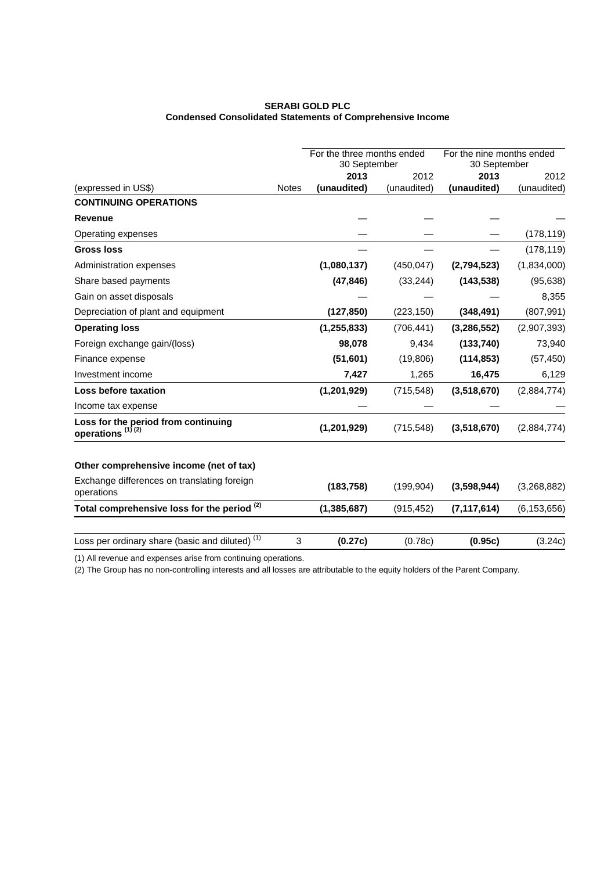# **SERABI GOLD PLC Condensed Consolidated Statements of Comprehensive Income**

|                                                                     |              | For the three months ended |             | For the nine months ended |               |
|---------------------------------------------------------------------|--------------|----------------------------|-------------|---------------------------|---------------|
|                                                                     |              | 30 September               |             | 30 September              |               |
|                                                                     |              | 2013                       | 2012        | 2013                      | 2012          |
| (expressed in US\$)                                                 | <b>Notes</b> | (unaudited)                | (unaudited) | (unaudited)               | (unaudited)   |
| <b>CONTINUING OPERATIONS</b>                                        |              |                            |             |                           |               |
| <b>Revenue</b>                                                      |              |                            |             |                           |               |
| Operating expenses                                                  |              |                            |             |                           | (178, 119)    |
| <b>Gross loss</b>                                                   |              |                            |             |                           | (178, 119)    |
| Administration expenses                                             |              | (1,080,137)                | (450, 047)  | (2,794,523)               | (1,834,000)   |
| Share based payments                                                |              | (47, 846)                  | (33, 244)   | (143, 538)                | (95, 638)     |
| Gain on asset disposals                                             |              |                            |             |                           | 8,355         |
| Depreciation of plant and equipment                                 |              | (127, 850)                 | (223, 150)  | (348, 491)                | (807, 991)    |
| <b>Operating loss</b>                                               |              | (1, 255, 833)              | (706, 441)  | (3, 286, 552)             | (2,907,393)   |
| Foreign exchange gain/(loss)                                        |              | 98,078                     | 9,434       | (133,740)                 | 73,940        |
| Finance expense                                                     |              | (51,601)                   | (19,806)    | (114, 853)                | (57, 450)     |
| Investment income                                                   |              | 7,427                      | 1,265       | 16,475                    | 6,129         |
| Loss before taxation                                                |              | (1, 201, 929)              | (715, 548)  | (3,518,670)               | (2,884,774)   |
| Income tax expense                                                  |              |                            |             |                           |               |
| Loss for the period from continuing<br>operations <sup>(1)(2)</sup> |              | (1,201,929)                | (715, 548)  | (3,518,670)               | (2,884,774)   |
| Other comprehensive income (net of tax)                             |              |                            |             |                           |               |
| Exchange differences on translating foreign<br>operations           |              | (183, 758)                 | (199, 904)  | (3,598,944)               | (3,268,882)   |
| Total comprehensive loss for the period (2)                         |              | (1, 385, 687)              | (915, 452)  | (7, 117, 614)             | (6, 153, 656) |
| Loss per ordinary share (basic and diluted) <sup>(1)</sup>          | 3            | (0.27c)                    | (0.78c)     | (0.95c)                   | (3.24c)       |

(1) All revenue and expenses arise from continuing operations.

(2) The Group has no non-controlling interests and all losses are attributable to the equity holders of the Parent Company.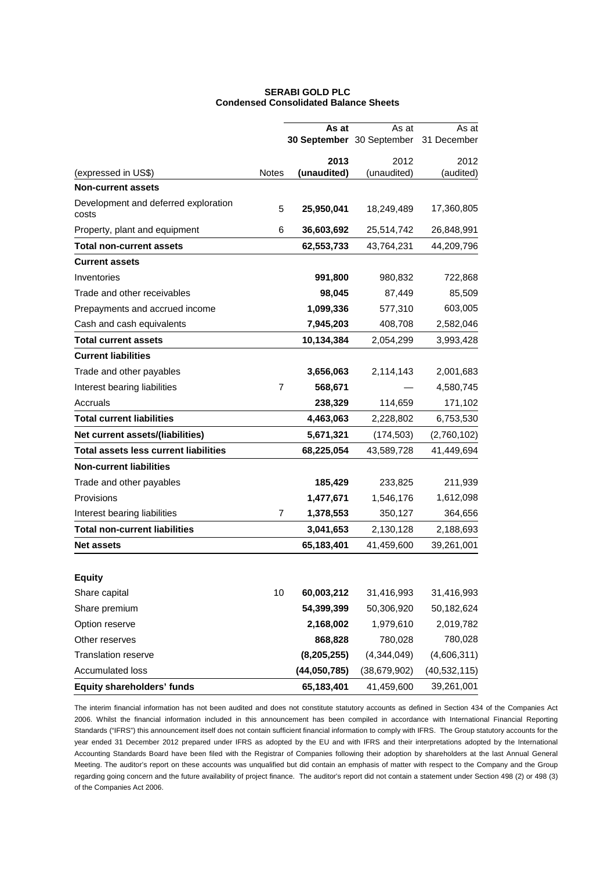| <b>SERABI GOLD PLC</b>                       |
|----------------------------------------------|
| <b>Condensed Consolidated Balance Sheets</b> |

|                                               |              | As at         | As at                     | As at          |
|-----------------------------------------------|--------------|---------------|---------------------------|----------------|
|                                               |              |               | 30 September 30 September | 31 December    |
|                                               |              | 2013          | 2012                      | 2012           |
| (expressed in US\$)                           | <b>Notes</b> | (unaudited)   | (unaudited)               | (audited)      |
| <b>Non-current assets</b>                     |              |               |                           |                |
| Development and deferred exploration<br>costs | 5            | 25,950,041    | 18,249,489                | 17,360,805     |
| Property, plant and equipment                 | 6            | 36,603,692    | 25,514,742                | 26,848,991     |
| <b>Total non-current assets</b>               |              | 62,553,733    | 43,764,231                | 44,209,796     |
| <b>Current assets</b>                         |              |               |                           |                |
| Inventories                                   |              | 991,800       | 980,832                   | 722,868        |
| Trade and other receivables                   |              | 98,045        | 87,449                    | 85,509         |
| Prepayments and accrued income                |              | 1,099,336     | 577,310                   | 603,005        |
| Cash and cash equivalents                     |              | 7,945,203     | 408,708                   | 2,582,046      |
| <b>Total current assets</b>                   |              | 10,134,384    | 2,054,299                 | 3,993,428      |
| <b>Current liabilities</b>                    |              |               |                           |                |
| Trade and other payables                      |              | 3,656,063     | 2,114,143                 | 2,001,683      |
| Interest bearing liabilities                  | 7            | 568,671       |                           | 4,580,745      |
| Accruals                                      |              | 238,329       | 114,659                   | 171,102        |
| <b>Total current liabilities</b>              |              | 4,463,063     | 2,228,802                 | 6,753,530      |
| Net current assets/(liabilities)              |              | 5,671,321     | (174, 503)                | (2,760,102)    |
| <b>Total assets less current liabilities</b>  |              | 68,225,054    | 43,589,728                | 41,449,694     |
| <b>Non-current liabilities</b>                |              |               |                           |                |
| Trade and other payables                      |              | 185,429       | 233,825                   | 211,939        |
| Provisions                                    |              | 1,477,671     | 1,546,176                 | 1,612,098      |
| Interest bearing liabilities                  | 7            | 1,378,553     | 350,127                   | 364,656        |
| Total non-current liabilities                 |              | 3,041,653     | 2,130,128                 | 2,188,693      |
| <b>Net assets</b>                             |              | 65,183,401    | 41,459,600                | 39,261,001     |
|                                               |              |               |                           |                |
| <b>Equity</b>                                 |              |               |                           |                |
| Share capital                                 | 10           | 60,003,212    | 31,416,993                | 31,416,993     |
| Share premium                                 |              | 54,399,399    | 50,306,920                | 50,182,624     |
| Option reserve                                |              | 2,168,002     | 1,979,610                 | 2,019,782      |
| Other reserves                                |              | 868,828       | 780,028                   | 780,028        |
| <b>Translation reserve</b>                    |              | (8, 205, 255) | (4,344,049)               | (4,606,311)    |
| Accumulated loss                              |              | (44,050,785)  | (38, 679, 902)            | (40, 532, 115) |
| Equity shareholders' funds                    |              | 65,183,401    | 41,459,600                | 39,261,001     |

The interim financial information has not been audited and does not constitute statutory accounts as defined in Section 434 of the Companies Act 2006. Whilst the financial information included in this announcement has been compiled in accordance with International Financial Reporting Standards ("IFRS") this announcement itself does not contain sufficient financial information to comply with IFRS. The Group statutory accounts for the year ended 31 December 2012 prepared under IFRS as adopted by the EU and with IFRS and their interpretations adopted by the International Accounting Standards Board have been filed with the Registrar of Companies following their adoption by shareholders at the last Annual General Meeting. The auditor's report on these accounts was unqualified but did contain an emphasis of matter with respect to the Company and the Group regarding going concern and the future availability of project finance. The auditor's report did not contain a statement under Section 498 (2) or 498 (3) of the Companies Act 2006.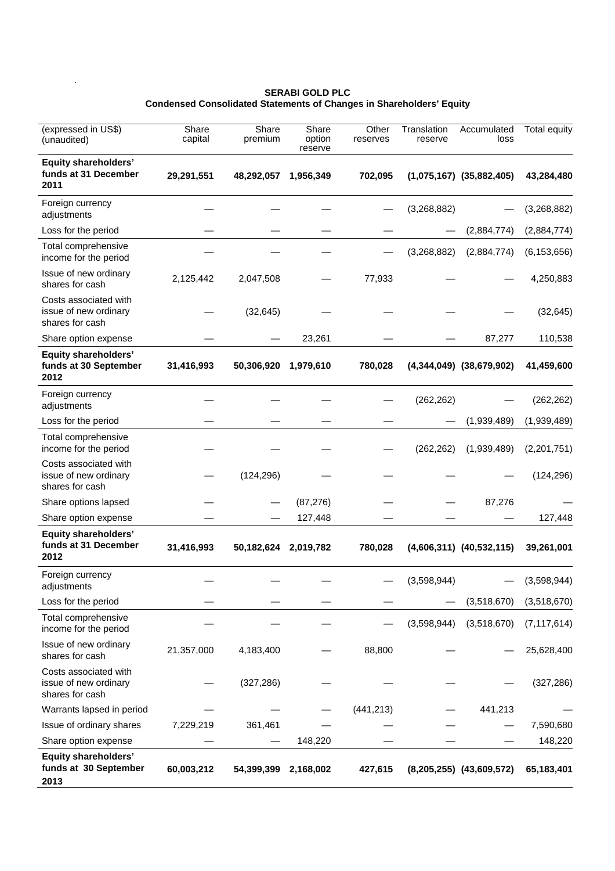#### **SERABI GOLD PLC Condensed Consolidated Statements of Changes in Shareholders' Equity**

.

| (expressed in US\$)<br>(unaudited)                                | Share<br>capital | Share<br>premium     | Share<br>option<br>reserve | Other<br>reserves | Translation<br>reserve | Accumulated<br>loss          | <b>Total equity</b> |
|-------------------------------------------------------------------|------------------|----------------------|----------------------------|-------------------|------------------------|------------------------------|---------------------|
| <b>Equity shareholders'</b><br>funds at 31 December<br>2011       | 29,291,551       | 48,292,057           | 1,956,349                  | 702,095           |                        | $(1,075,167)$ $(35,882,405)$ | 43,284,480          |
| Foreign currency<br>adjustments                                   |                  |                      |                            |                   | (3,268,882)            |                              | (3,268,882)         |
| Loss for the period                                               |                  |                      |                            |                   |                        | (2,884,774)                  | (2,884,774)         |
| Total comprehensive<br>income for the period                      |                  |                      |                            |                   | (3,268,882)            | (2,884,774)                  | (6, 153, 656)       |
| Issue of new ordinary<br>shares for cash                          | 2,125,442        | 2,047,508            |                            | 77,933            |                        |                              | 4,250,883           |
| Costs associated with<br>issue of new ordinary<br>shares for cash |                  | (32, 645)            |                            |                   |                        |                              | (32, 645)           |
| Share option expense                                              |                  |                      | 23,261                     |                   |                        | 87,277                       | 110,538             |
| <b>Equity shareholders'</b><br>funds at 30 September<br>2012      | 31,416,993       | 50,306,920           | 1,979,610                  | 780,028           |                        | $(4,344,049)$ $(38,679,902)$ | 41,459,600          |
| Foreign currency<br>adjustments                                   |                  |                      |                            |                   | (262, 262)             |                              | (262, 262)          |
| Loss for the period                                               |                  |                      |                            |                   |                        | (1,939,489)                  | (1,939,489)         |
| Total comprehensive<br>income for the period                      |                  |                      |                            |                   | (262, 262)             | (1,939,489)                  | (2,201,751)         |
| Costs associated with<br>issue of new ordinary<br>shares for cash |                  | (124, 296)           |                            |                   |                        |                              | (124, 296)          |
| Share options lapsed                                              |                  |                      | (87, 276)                  |                   |                        | 87,276                       |                     |
| Share option expense                                              |                  |                      | 127,448                    |                   |                        |                              | 127,448             |
| <b>Equity shareholders'</b><br>funds at 31 December<br>2012       | 31,416,993       | 50,182,624 2,019,782 |                            | 780,028           |                        | $(4,606,311)$ $(40,532,115)$ | 39,261,001          |
| Foreign currency<br>adjustments                                   |                  |                      |                            |                   | (3,598,944)            |                              | (3,598,944)         |
| Loss for the period                                               |                  |                      |                            |                   |                        | (3,518,670)                  | (3,518,670)         |
| Total comprehensive<br>income for the period                      |                  |                      |                            |                   | (3,598,944)            | (3,518,670)                  | (7, 117, 614)       |
| Issue of new ordinary<br>shares for cash                          | 21,357,000       | 4,183,400            |                            | 88,800            |                        |                              | 25,628,400          |
| Costs associated with<br>issue of new ordinary<br>shares for cash |                  | (327, 286)           |                            |                   |                        |                              | (327, 286)          |
| Warrants lapsed in period                                         |                  |                      |                            | (441, 213)        |                        | 441,213                      |                     |
| Issue of ordinary shares                                          | 7,229,219        | 361,461              |                            |                   |                        |                              | 7,590,680           |
| Share option expense                                              |                  |                      | 148,220                    |                   |                        |                              | 148,220             |
| <b>Equity shareholders'</b><br>funds at 30 September<br>2013      | 60,003,212       | 54,399,399           | 2,168,002                  | 427,615           |                        | $(8,205,255)$ $(43,609,572)$ | 65,183,401          |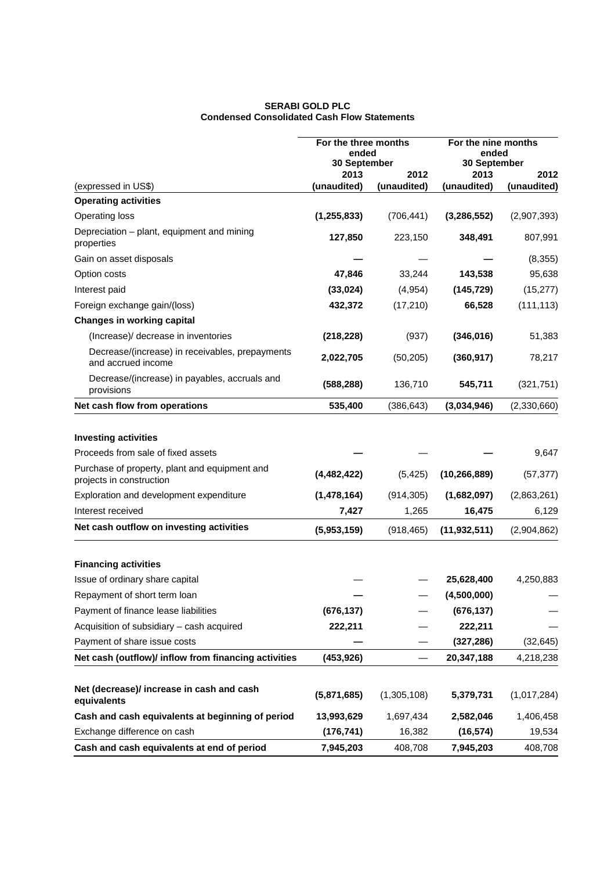### **SERABI GOLD PLC Condensed Consolidated Cash Flow Statements**

|                                                                           | For the three months<br>ended<br>30 September |                     | For the nine months<br>ended<br>30 September |                     |
|---------------------------------------------------------------------------|-----------------------------------------------|---------------------|----------------------------------------------|---------------------|
| (expressed in US\$)                                                       | 2013<br>(unaudited)                           | 2012<br>(unaudited) | 2013<br>(unaudited)                          | 2012<br>(unaudited) |
| <b>Operating activities</b>                                               |                                               |                     |                                              |                     |
| Operating loss                                                            | (1, 255, 833)                                 | (706, 441)          | (3, 286, 552)                                | (2,907,393)         |
| Depreciation – plant, equipment and mining<br>properties                  | 127,850                                       | 223,150             | 348,491                                      | 807,991             |
| Gain on asset disposals                                                   |                                               |                     |                                              | (8,355)             |
| Option costs                                                              | 47,846                                        | 33,244              | 143,538                                      | 95,638              |
| Interest paid                                                             | (33, 024)                                     | (4, 954)            | (145, 729)                                   | (15, 277)           |
| Foreign exchange gain/(loss)                                              | 432,372                                       | (17, 210)           | 66,528                                       | (111, 113)          |
| <b>Changes in working capital</b>                                         |                                               |                     |                                              |                     |
| (Increase)/ decrease in inventories                                       | (218, 228)                                    | (937)               | (346, 016)                                   | 51,383              |
| Decrease/(increase) in receivables, prepayments<br>and accrued income     | 2,022,705                                     | (50, 205)           | (360, 917)                                   | 78,217              |
| Decrease/(increase) in payables, accruals and<br>provisions               | (588, 288)                                    | 136,710             | 545,711                                      | (321, 751)          |
| Net cash flow from operations                                             | 535,400                                       | (386, 643)          | (3,034,946)                                  | (2,330,660)         |
| <b>Investing activities</b>                                               |                                               |                     |                                              |                     |
| Proceeds from sale of fixed assets                                        |                                               |                     |                                              | 9,647               |
| Purchase of property, plant and equipment and<br>projects in construction | (4, 482, 422)                                 | (5, 425)            | (10, 266, 889)                               | (57, 377)           |
| Exploration and development expenditure                                   | (1,478,164)                                   | (914, 305)          | (1,682,097)                                  | (2,863,261)         |
| Interest received                                                         | 7,427                                         | 1,265               | 16,475                                       | 6,129               |
| Net cash outflow on investing activities                                  | (5,953,159)                                   | (918, 465)          | (11, 932, 511)                               | (2,904,862)         |
| <b>Financing activities</b>                                               |                                               |                     |                                              |                     |
| Issue of ordinary share capital                                           |                                               |                     | 25,628,400                                   | 4,250,883           |
| Repayment of short term loan                                              |                                               |                     | (4,500,000)                                  |                     |
| Payment of finance lease liabilities                                      | (676, 137)                                    |                     | (676, 137)                                   |                     |
| Acquisition of subsidiary - cash acquired                                 | 222,211                                       |                     | 222,211                                      |                     |
| Payment of share issue costs                                              |                                               |                     | (327, 286)                                   | (32, 645)           |
| Net cash (outflow)/ inflow from financing activities                      | (453, 926)                                    |                     | 20,347,188                                   | 4,218,238           |
| Net (decrease)/ increase in cash and cash<br>equivalents                  | (5,871,685)                                   | (1,305,108)         | 5,379,731                                    | (1,017,284)         |
| Cash and cash equivalents at beginning of period                          | 13,993,629                                    | 1,697,434           | 2,582,046                                    | 1,406,458           |
| Exchange difference on cash                                               | (176, 741)                                    | 16,382              | (16, 574)                                    | 19,534              |
| Cash and cash equivalents at end of period                                | 7,945,203                                     | 408,708             | 7,945,203                                    | 408,708             |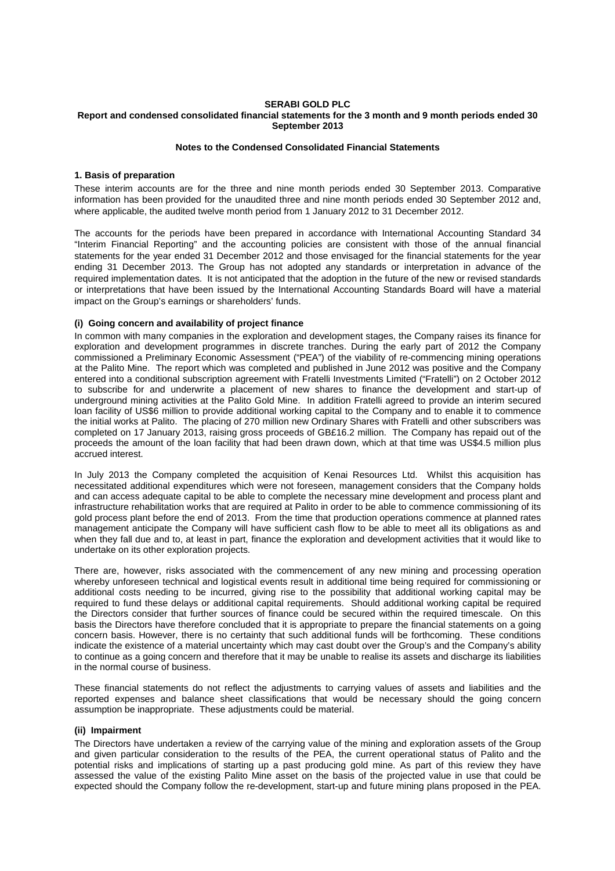#### **SERABI GOLD PLC Report and condensed consolidated financial statements for the 3 month and 9 month periods ended 30 September 2013**

### **Notes to the Condensed Consolidated Financial Statements**

### **1. Basis of preparation**

These interim accounts are for the three and nine month periods ended 30 September 2013. Comparative information has been provided for the unaudited three and nine month periods ended 30 September 2012 and, where applicable, the audited twelve month period from 1 January 2012 to 31 December 2012.

The accounts for the periods have been prepared in accordance with International Accounting Standard 34 "Interim Financial Reporting" and the accounting policies are consistent with those of the annual financial statements for the year ended 31 December 2012 and those envisaged for the financial statements for the year ending 31 December 2013. The Group has not adopted any standards or interpretation in advance of the required implementation dates. It is not anticipated that the adoption in the future of the new or revised standards or interpretations that have been issued by the International Accounting Standards Board will have a material impact on the Group's earnings or shareholders' funds.

### **(i) Going concern and availability of project finance**

In common with many companies in the exploration and development stages, the Company raises its finance for exploration and development programmes in discrete tranches. During the early part of 2012 the Company commissioned a Preliminary Economic Assessment ("PEA") of the viability of re-commencing mining operations at the Palito Mine. The report which was completed and published in June 2012 was positive and the Company entered into a conditional subscription agreement with Fratelli Investments Limited ("Fratelli") on 2 October 2012 to subscribe for and underwrite a placement of new shares to finance the development and start-up of underground mining activities at the Palito Gold Mine. In addition Fratelli agreed to provide an interim secured loan facility of US\$6 million to provide additional working capital to the Company and to enable it to commence the initial works at Palito. The placing of 270 million new Ordinary Shares with Fratelli and other subscribers was completed on 17 January 2013, raising gross proceeds of GB£16.2 million. The Company has repaid out of the proceeds the amount of the loan facility that had been drawn down, which at that time was US\$4.5 million plus accrued interest.

In July 2013 the Company completed the acquisition of Kenai Resources Ltd. Whilst this acquisition has necessitated additional expenditures which were not foreseen, management considers that the Company holds and can access adequate capital to be able to complete the necessary mine development and process plant and infrastructure rehabilitation works that are required at Palito in order to be able to commence commissioning of its gold process plant before the end of 2013. From the time that production operations commence at planned rates management anticipate the Company will have sufficient cash flow to be able to meet all its obligations as and when they fall due and to, at least in part, finance the exploration and development activities that it would like to undertake on its other exploration projects.

There are, however, risks associated with the commencement of any new mining and processing operation whereby unforeseen technical and logistical events result in additional time being required for commissioning or additional costs needing to be incurred, giving rise to the possibility that additional working capital may be required to fund these delays or additional capital requirements. Should additional working capital be required the Directors consider that further sources of finance could be secured within the required timescale. On this basis the Directors have therefore concluded that it is appropriate to prepare the financial statements on a going concern basis. However, there is no certainty that such additional funds will be forthcoming. These conditions indicate the existence of a material uncertainty which may cast doubt over the Group's and the Company's ability to continue as a going concern and therefore that it may be unable to realise its assets and discharge its liabilities in the normal course of business.

These financial statements do not reflect the adjustments to carrying values of assets and liabilities and the reported expenses and balance sheet classifications that would be necessary should the going concern assumption be inappropriate. These adjustments could be material.

#### **(ii) Impairment**

The Directors have undertaken a review of the carrying value of the mining and exploration assets of the Group and given particular consideration to the results of the PEA, the current operational status of Palito and the potential risks and implications of starting up a past producing gold mine. As part of this review they have assessed the value of the existing Palito Mine asset on the basis of the projected value in use that could be expected should the Company follow the re-development, start-up and future mining plans proposed in the PEA.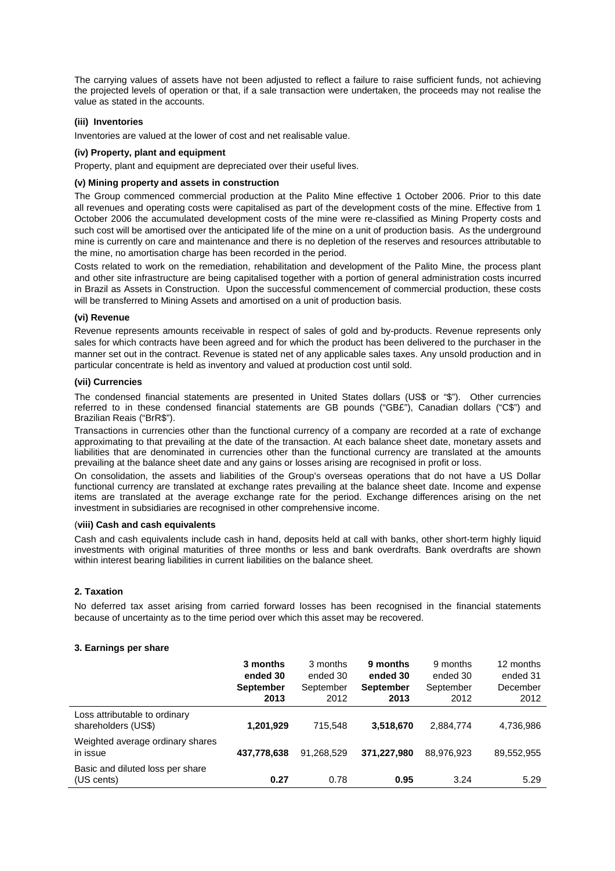The carrying values of assets have not been adjusted to reflect a failure to raise sufficient funds, not achieving the projected levels of operation or that, if a sale transaction were undertaken, the proceeds may not realise the value as stated in the accounts.

### **(iii) Inventories**

Inventories are valued at the lower of cost and net realisable value.

### **(iv) Property, plant and equipment**

Property, plant and equipment are depreciated over their useful lives.

### **(v) Mining property and assets in construction**

The Group commenced commercial production at the Palito Mine effective 1 October 2006. Prior to this date all revenues and operating costs were capitalised as part of the development costs of the mine. Effective from 1 October 2006 the accumulated development costs of the mine were re-classified as Mining Property costs and such cost will be amortised over the anticipated life of the mine on a unit of production basis. As the underground mine is currently on care and maintenance and there is no depletion of the reserves and resources attributable to the mine, no amortisation charge has been recorded in the period.

Costs related to work on the remediation, rehabilitation and development of the Palito Mine, the process plant and other site infrastructure are being capitalised together with a portion of general administration costs incurred in Brazil as Assets in Construction. Upon the successful commencement of commercial production, these costs will be transferred to Mining Assets and amortised on a unit of production basis.

### **(vi) Revenue**

Revenue represents amounts receivable in respect of sales of gold and by-products. Revenue represents only sales for which contracts have been agreed and for which the product has been delivered to the purchaser in the manner set out in the contract. Revenue is stated net of any applicable sales taxes. Any unsold production and in particular concentrate is held as inventory and valued at production cost until sold.

### **(vii) Currencies**

The condensed financial statements are presented in United States dollars (US\$ or "\$"). Other currencies referred to in these condensed financial statements are GB pounds ("GB£"), Canadian dollars ("C\$") and Brazilian Reais ("BrR\$").

Transactions in currencies other than the functional currency of a company are recorded at a rate of exchange approximating to that prevailing at the date of the transaction. At each balance sheet date, monetary assets and liabilities that are denominated in currencies other than the functional currency are translated at the amounts prevailing at the balance sheet date and any gains or losses arising are recognised in profit or loss.

On consolidation, the assets and liabilities of the Group's overseas operations that do not have a US Dollar functional currency are translated at exchange rates prevailing at the balance sheet date. Income and expense items are translated at the average exchange rate for the period. Exchange differences arising on the net investment in subsidiaries are recognised in other comprehensive income.

### (**viii) Cash and cash equivalents**

Cash and cash equivalents include cash in hand, deposits held at call with banks, other short-term highly liquid investments with original maturities of three months or less and bank overdrafts. Bank overdrafts are shown within interest bearing liabilities in current liabilities on the balance sheet.

### **2. Taxation**

No deferred tax asset arising from carried forward losses has been recognised in the financial statements because of uncertainty as to the time period over which this asset may be recovered.

### **3. Earnings per share**

|                                                      | 3 months<br>ended 30<br><b>September</b><br>2013 | 3 months<br>ended 30<br>September<br>2012 | 9 months<br>ended 30<br><b>September</b><br>2013 | 9 months<br>ended 30<br>September<br>2012 | 12 months<br>ended 31<br>December<br>2012 |
|------------------------------------------------------|--------------------------------------------------|-------------------------------------------|--------------------------------------------------|-------------------------------------------|-------------------------------------------|
| Loss attributable to ordinary<br>shareholders (US\$) | 1,201,929                                        | 715.548                                   | 3,518,670                                        | 2,884,774                                 | 4,736,986                                 |
| Weighted average ordinary shares<br>in issue         | 437,778,638                                      | 91,268,529                                | 371,227,980                                      | 88,976,923                                | 89,552,955                                |
| Basic and diluted loss per share<br>(US cents)       | 0.27                                             | 0.78                                      | 0.95                                             | 3.24                                      | 5.29                                      |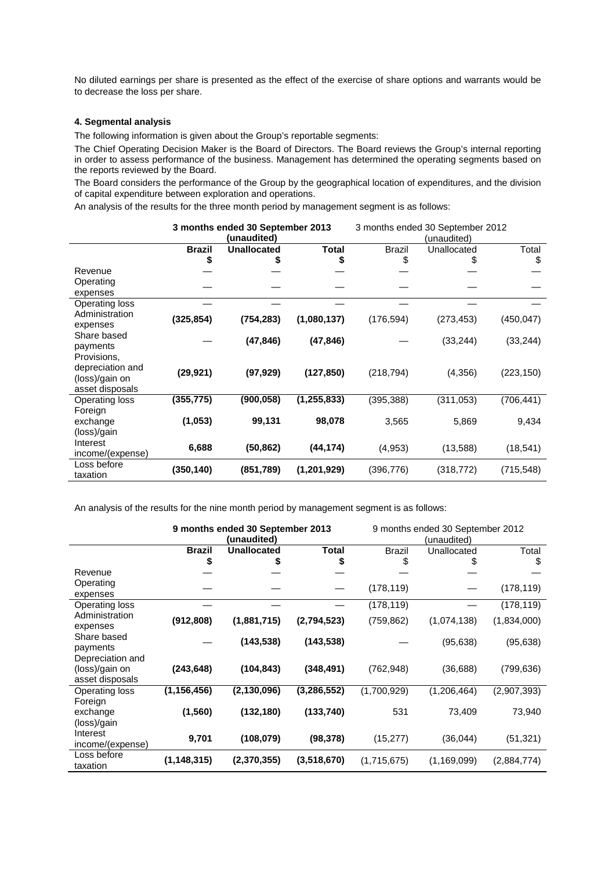No diluted earnings per share is presented as the effect of the exercise of share options and warrants would be to decrease the loss per share.

### **4. Segmental analysis**

The following information is given about the Group's reportable segments:

The Chief Operating Decision Maker is the Board of Directors. The Board reviews the Group's internal reporting in order to assess performance of the business. Management has determined the operating segments based on the reports reviewed by the Board.

The Board considers the performance of the Group by the geographical location of expenditures, and the division of capital expenditure between exploration and operations.

An analysis of the results for the three month period by management segment is as follows:

|                  |               | 3 months ended 30 September 2013<br>(unaudited) |               | 3 months ended 30 September 2012<br>(unaudited) |             |            |
|------------------|---------------|-------------------------------------------------|---------------|-------------------------------------------------|-------------|------------|
|                  | <b>Brazil</b> | <b>Unallocated</b>                              | <b>Total</b>  | <b>Brazil</b>                                   | Unallocated | Total      |
|                  |               |                                                 | \$            | \$                                              |             | \$         |
| Revenue          |               |                                                 |               |                                                 |             |            |
| Operating        |               |                                                 |               |                                                 |             |            |
| expenses         |               |                                                 |               |                                                 |             |            |
| Operating loss   |               |                                                 |               |                                                 |             |            |
| Administration   | (325, 854)    | (754, 283)                                      | (1,080,137)   | (176, 594)                                      | (273, 453)  | (450, 047) |
| expenses         |               |                                                 |               |                                                 |             |            |
| Share based      |               | (47, 846)                                       | (47, 846)     |                                                 | (33, 244)   | (33, 244)  |
| payments         |               |                                                 |               |                                                 |             |            |
| Provisions,      |               |                                                 |               |                                                 |             |            |
| depreciation and | (29, 921)     | (97, 929)                                       | (127, 850)    | (218, 794)                                      | (4,356)     | (223, 150) |
| (loss)/gain on   |               |                                                 |               |                                                 |             |            |
| asset disposals  |               |                                                 |               |                                                 |             |            |
| Operating loss   | (355, 775)    | (900, 058)                                      | (1, 255, 833) | (395, 388)                                      | (311, 053)  | (706, 441) |
| Foreign          |               |                                                 |               |                                                 |             |            |
| exchange         | (1, 053)      | 99,131                                          | 98,078        | 3,565                                           | 5,869       | 9,434      |
| (loss)/gain      |               |                                                 |               |                                                 |             |            |
| Interest         | 6,688         | (50, 862)                                       | (44, 174)     | (4, 953)                                        | (13,588)    | (18, 541)  |
| income/(expense) |               |                                                 |               |                                                 |             |            |
| Loss before      | (350, 140)    | (851, 789)                                      | (1,201,929)   | (396, 776)                                      | (318, 772)  | (715, 548) |
| taxation         |               |                                                 |               |                                                 |             |            |

An analysis of the results for the nine month period by management segment is as follows:

|                  | 9 months ended 30 September 2013<br>(unaudited) |                    | 9 months ended 30 September 2012<br>(unaudited) |             |               |             |
|------------------|-------------------------------------------------|--------------------|-------------------------------------------------|-------------|---------------|-------------|
|                  | <b>Brazil</b>                                   | <b>Unallocated</b> | <b>Total</b>                                    | Brazil      | Unallocated   | Total       |
|                  | \$                                              |                    | \$                                              |             |               | \$          |
| Revenue          |                                                 |                    |                                                 |             |               |             |
| Operating        |                                                 |                    |                                                 |             |               |             |
| expenses         |                                                 |                    |                                                 | (178, 119)  |               | (178, 119)  |
| Operating loss   |                                                 |                    |                                                 | (178, 119)  |               | (178, 119)  |
| Administration   | (912, 808)                                      | (1,881,715)        | (2,794,523)                                     | (759, 862)  | (1,074,138)   |             |
| expenses         |                                                 |                    |                                                 |             |               | (1,834,000) |
| Share based      |                                                 | (143, 538)         |                                                 |             |               |             |
| payments         |                                                 |                    | (143, 538)                                      |             | (95, 638)     | (95, 638)   |
| Depreciation and |                                                 |                    |                                                 |             |               |             |
| (loss)/gain on   | (243, 648)                                      | (104, 843)         | (348, 491)                                      | (762, 948)  | (36, 688)     | (799,636)   |
| asset disposals  |                                                 |                    |                                                 |             |               |             |
| Operating loss   | (1, 156, 456)                                   | (2, 130, 096)      | (3,286,552)                                     | (1,700,929) | (1,206,464)   | (2,907,393) |
| Foreign          |                                                 |                    |                                                 |             |               |             |
| exchange         | (1, 560)                                        | (132, 180)         | (133, 740)                                      | 531         | 73,409        | 73,940      |
| (loss)/gain      |                                                 |                    |                                                 |             |               |             |
| Interest         |                                                 |                    |                                                 |             |               |             |
| income/(expense) | 9,701                                           | (108, 079)         | (98, 378)                                       | (15, 277)   | (36, 044)     | (51, 321)   |
| Loss before      |                                                 |                    |                                                 |             |               |             |
| taxation         | (1, 148, 315)                                   | (2,370,355)        | (3,518,670)                                     | (1,715,675) | (1, 169, 099) | (2,884,774) |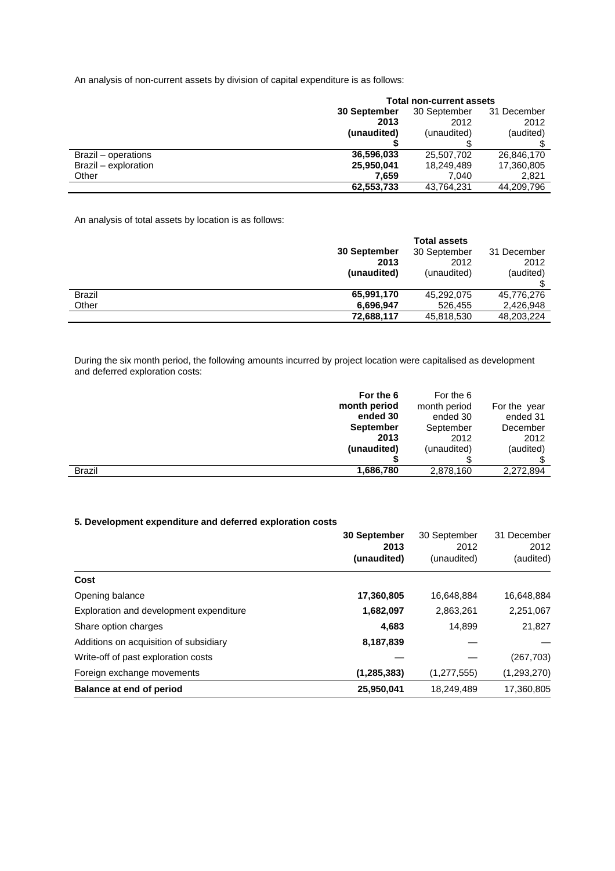An analysis of non-current assets by division of capital expenditure is as follows:

|                      | <b>Total non-current assets</b> |              |             |  |
|----------------------|---------------------------------|--------------|-------------|--|
|                      | 30 September                    | 30 September | 31 December |  |
|                      | 2013                            | 2012         | 2012        |  |
|                      | (unaudited)                     | (unaudited)  | (audited)   |  |
|                      |                                 |              |             |  |
| Brazil – operations  | 36,596,033                      | 25,507,702   | 26,846,170  |  |
| Brazil - exploration | 25,950,041                      | 18,249,489   | 17,360,805  |  |
| Other                | 7.659                           | 7.040        | 2,821       |  |
|                      | 62,553,733                      | 43,764,231   | 44,209,796  |  |

An analysis of total assets by location is as follows:

|               |              | <b>Total assets</b> |             |
|---------------|--------------|---------------------|-------------|
|               | 30 September | 30 September        | 31 December |
|               | 2013         | 2012                | 2012        |
|               | (unaudited)  | (unaudited)         | (audited)   |
|               |              |                     |             |
| <b>Brazil</b> | 65,991,170   | 45,292,075          | 45,776,276  |
| Other         | 6,696,947    | 526.455             | 2,426,948   |
|               | 72,688,117   | 45,818,530          | 48,203,224  |

During the six month period, the following amounts incurred by project location were capitalised as development and deferred exploration costs:

| For the 6                  | For the 6    |              |
|----------------------------|--------------|--------------|
| month period               | month period | For the year |
| ended 30                   | ended 30     | ended 31     |
| <b>September</b>           | September    | December     |
| 2013                       | 2012         | 2012         |
| (unaudited)                | (unaudited)  | (audited)    |
|                            |              |              |
| <b>Brazil</b><br>1,686,780 | 2,878,160    | 2,272,894    |
|                            |              |              |

# **5. Development expenditure and deferred exploration costs**

|                                         | <b>30 September</b> | 30 September  | 31 December |  |
|-----------------------------------------|---------------------|---------------|-------------|--|
|                                         | 2013                | 2012          | 2012        |  |
|                                         | (unaudited)         | (unaudited)   | (audited)   |  |
| Cost                                    |                     |               |             |  |
| Opening balance                         | 17,360,805          | 16,648,884    | 16,648,884  |  |
| Exploration and development expenditure | 1,682,097           | 2,863,261     | 2,251,067   |  |
| Share option charges                    | 4,683               | 14.899        | 21,827      |  |
| Additions on acquisition of subsidiary  | 8,187,839           |               |             |  |
| Write-off of past exploration costs     |                     |               | (267, 703)  |  |
| Foreign exchange movements              | (1, 285, 383)       | (1, 277, 555) | (1,293,270) |  |
| Balance at end of period                | 25,950,041          | 18,249,489    | 17,360,805  |  |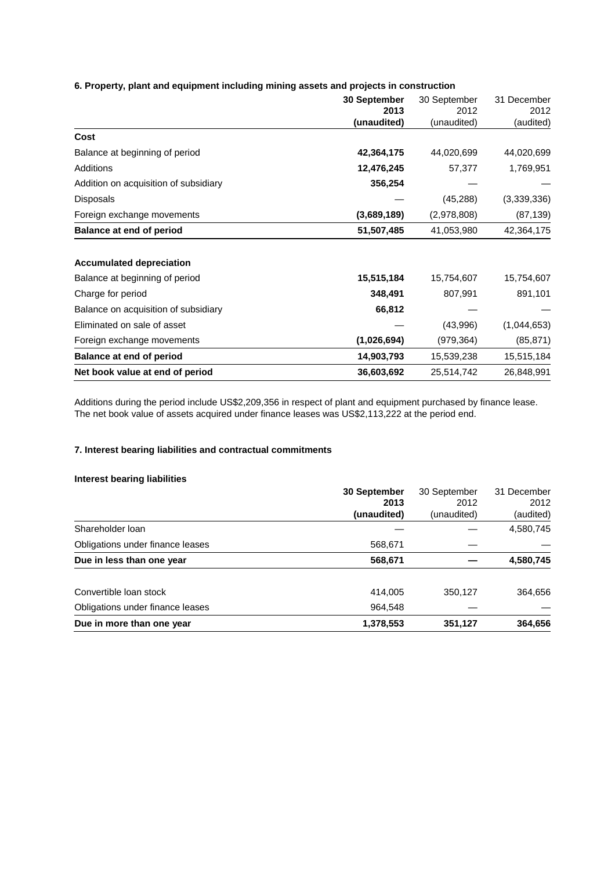# **6. Property, plant and equipment including mining assets and projects in construction**

|                                       | 30 September<br>2013 | 30 September<br>2012 | 31 December<br>2012 |
|---------------------------------------|----------------------|----------------------|---------------------|
|                                       | (unaudited)          | (unaudited)          | (audited)           |
| Cost                                  |                      |                      |                     |
| Balance at beginning of period        | 42,364,175           | 44,020,699           | 44,020,699          |
| Additions                             | 12,476,245           | 57,377               | 1,769,951           |
| Addition on acquisition of subsidiary | 356,254              |                      |                     |
| Disposals                             |                      | (45, 288)            | (3,339,336)         |
| Foreign exchange movements            | (3,689,189)          | (2,978,808)          | (87, 139)           |
| <b>Balance at end of period</b>       | 51,507,485           | 41,053,980           | 42,364,175          |
| <b>Accumulated depreciation</b>       |                      |                      |                     |
| Balance at beginning of period        | 15,515,184           | 15,754,607           | 15,754,607          |
| Charge for period                     | 348,491              | 807,991              | 891,101             |
| Balance on acquisition of subsidiary  | 66,812               |                      |                     |
| Eliminated on sale of asset           |                      | (43,996)             | (1,044,653)         |
| Foreign exchange movements            | (1,026,694)          | (979, 364)           | (85, 871)           |
| Balance at end of period              | 14,903,793           | 15,539,238           | 15,515,184          |
| Net book value at end of period       | 36,603,692           | 25,514,742           | 26,848,991          |

Additions during the period include US\$2,209,356 in respect of plant and equipment purchased by finance lease. The net book value of assets acquired under finance leases was US\$2,113,222 at the period end.

# **7. Interest bearing liabilities and contractual commitments**

# **Interest bearing liabilities**

|                                  | <b>30 September</b> | 30 September | 31 December |
|----------------------------------|---------------------|--------------|-------------|
|                                  | 2013                | 2012         | 2012        |
|                                  | (unaudited)         | (unaudited)  | (audited)   |
| Shareholder Ioan                 |                     |              | 4,580,745   |
| Obligations under finance leases | 568,671             |              |             |
| Due in less than one year        | 568,671             |              | 4,580,745   |
| Convertible loan stock           | 414.005             | 350,127      | 364,656     |
| Obligations under finance leases | 964,548             |              |             |
| Due in more than one year        | 1,378,553           | 351,127      | 364,656     |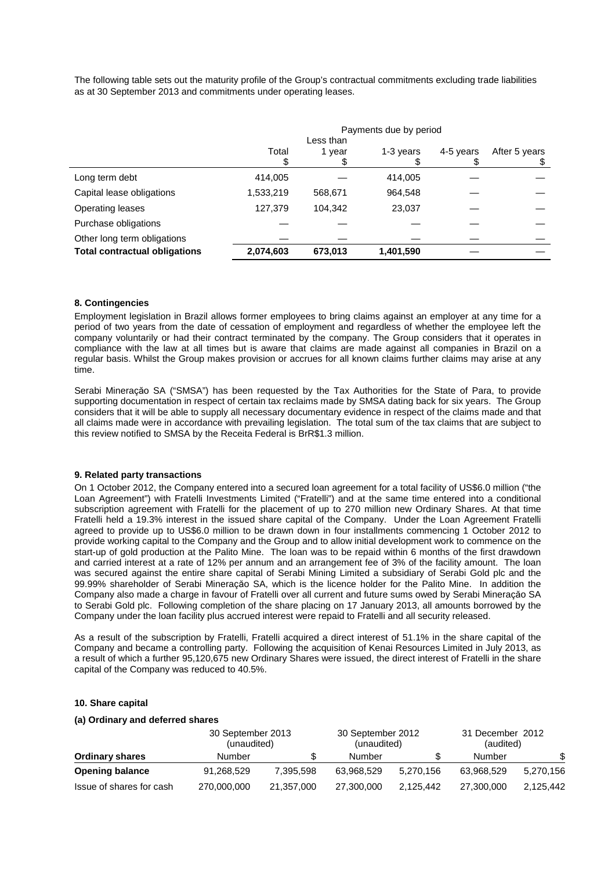The following table sets out the maturity profile of the Group's contractual commitments excluding trade liabilities as at 30 September 2013 and commitments under operating leases.

|                                      |           | Less than | Payments due by period |           |               |
|--------------------------------------|-----------|-----------|------------------------|-----------|---------------|
|                                      | Total     | 1 year    | 1-3 years              | 4-5 years | After 5 years |
| Long term debt                       | 414,005   |           | 414,005                |           |               |
| Capital lease obligations            | 1,533,219 | 568,671   | 964,548                |           |               |
| Operating leases                     | 127,379   | 104,342   | 23,037                 |           |               |
| Purchase obligations                 |           |           |                        |           |               |
| Other long term obligations          |           |           |                        |           |               |
| <b>Total contractual obligations</b> | 2,074,603 | 673,013   | 1,401,590              |           |               |

### **8. Contingencies**

Employment legislation in Brazil allows former employees to bring claims against an employer at any time for a period of two years from the date of cessation of employment and regardless of whether the employee left the company voluntarily or had their contract terminated by the company. The Group considers that it operates in compliance with the law at all times but is aware that claims are made against all companies in Brazil on a regular basis. Whilst the Group makes provision or accrues for all known claims further claims may arise at any time.

Serabi Mineraçăo SA ("SMSA") has been requested by the Tax Authorities for the State of Para, to provide supporting documentation in respect of certain tax reclaims made by SMSA dating back for six years. The Group considers that it will be able to supply all necessary documentary evidence in respect of the claims made and that all claims made were in accordance with prevailing legislation. The total sum of the tax claims that are subject to this review notified to SMSA by the Receita Federal is BrR\$1.3 million.

#### **9. Related party transactions**

On 1 October 2012, the Company entered into a secured loan agreement for a total facility of US\$6.0 million ("the Loan Agreement") with Fratelli Investments Limited ("Fratelli") and at the same time entered into a conditional subscription agreement with Fratelli for the placement of up to 270 million new Ordinary Shares. At that time Fratelli held a 19.3% interest in the issued share capital of the Company. Under the Loan Agreement Fratelli agreed to provide up to US\$6.0 million to be drawn down in four installments commencing 1 October 2012 to provide working capital to the Company and the Group and to allow initial development work to commence on the start-up of gold production at the Palito Mine. The loan was to be repaid within 6 months of the first drawdown and carried interest at a rate of 12% per annum and an arrangement fee of 3% of the facility amount. The loan was secured against the entire share capital of Serabi Mining Limited a subsidiary of Serabi Gold plc and the 99.99% shareholder of Serabi Mineraçăo SA, which is the licence holder for the Palito Mine. In addition the Company also made a charge in favour of Fratelli over all current and future sums owed by Serabi Mineraçăo SA to Serabi Gold plc. Following completion of the share placing on 17 January 2013, all amounts borrowed by the Company under the loan facility plus accrued interest were repaid to Fratelli and all security released.

As a result of the subscription by Fratelli, Fratelli acquired a direct interest of 51.1% in the share capital of the Company and became a controlling party. Following the acquisition of Kenai Resources Limited in July 2013, as a result of which a further 95,120,675 new Ordinary Shares were issued, the direct interest of Fratelli in the share capital of the Company was reduced to 40.5%.

### **10. Share capital**

#### **(a) Ordinary and deferred shares**

|                          | 30 September 2013<br>(unaudited) | 30 September 2012<br>(unaudited) |            | 31 December 2012<br>(audited) |            |           |
|--------------------------|----------------------------------|----------------------------------|------------|-------------------------------|------------|-----------|
| <b>Ordinary shares</b>   | Number                           |                                  | Number     |                               | Number     | \$        |
| <b>Opening balance</b>   | 91.268.529                       | 7.395.598                        | 63.968.529 | 5.270.156                     | 63.968.529 | 5,270,156 |
| Issue of shares for cash | 270,000,000                      | 21,357,000                       | 27,300,000 | 2.125.442                     | 27,300,000 | 2.125.442 |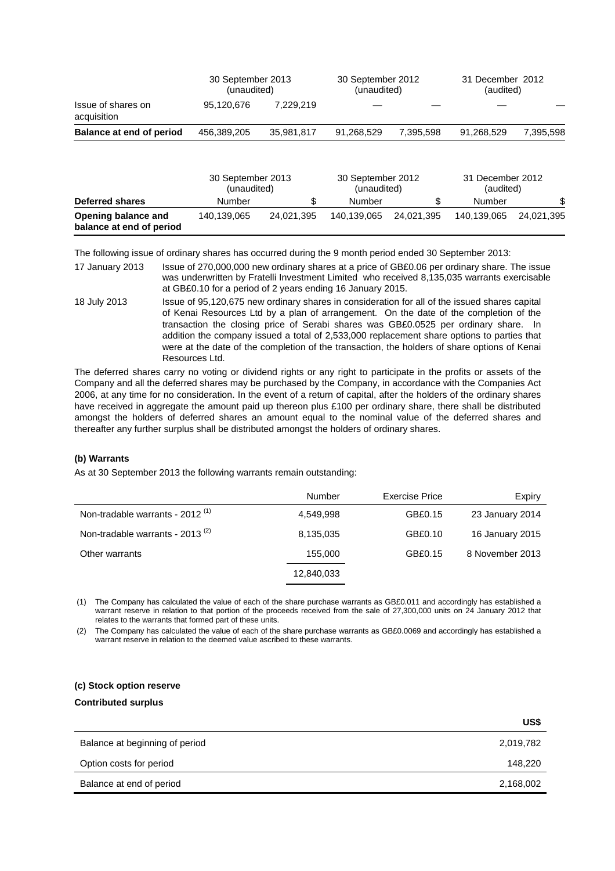| 95.120.676  | 7.229.219  |                                  |           |                                  |                               |
|-------------|------------|----------------------------------|-----------|----------------------------------|-------------------------------|
| 456,389,205 | 35.981.817 | 91.268.529                       | 7.395.598 | 91.268.529                       | 7.395.598                     |
|             |            | 30 September 2013<br>(unaudited) |           | 30 September 2012<br>(unaudited) | 31 December 2012<br>(audited) |

|                                                 |             | 30 September 2013<br>(unaudited) |             | 30 September 2012<br>(unaudited) |             | 31 December 2012<br>(audited) |
|-------------------------------------------------|-------------|----------------------------------|-------------|----------------------------------|-------------|-------------------------------|
| Deferred shares                                 | Number      |                                  | Number      |                                  | Number      | \$                            |
| Opening balance and<br>balance at end of period | 140.139.065 | 24.021.395                       | 140.139.065 | 24.021.395                       | 140.139.065 | 24.021.395                    |

The following issue of ordinary shares has occurred during the 9 month period ended 30 September 2013:

- 17 January 2013 Issue of 270,000,000 new ordinary shares at a price of GB£0.06 per ordinary share. The issue was underwritten by Fratelli Investment Limited who received 8,135,035 warrants exercisable at GB£0.10 for a period of 2 years ending 16 January 2015.
- 18 July 2013 Issue of 95,120,675 new ordinary shares in consideration for all of the issued shares capital of Kenai Resources Ltd by a plan of arrangement. On the date of the completion of the transaction the closing price of Serabi shares was GB£0.0525 per ordinary share. In addition the company issued a total of 2,533,000 replacement share options to parties that were at the date of the completion of the transaction, the holders of share options of Kenai Resources Ltd.

The deferred shares carry no voting or dividend rights or any right to participate in the profits or assets of the Company and all the deferred shares may be purchased by the Company, in accordance with the Companies Act 2006, at any time for no consideration. In the event of a return of capital, after the holders of the ordinary shares have received in aggregate the amount paid up thereon plus £100 per ordinary share, there shall be distributed amongst the holders of deferred shares an amount equal to the nominal value of the deferred shares and thereafter any further surplus shall be distributed amongst the holders of ordinary shares.

### **(b) Warrants**

As at 30 September 2013 the following warrants remain outstanding:

|                                             | Number     | Exercise Price | Expiry          |
|---------------------------------------------|------------|----------------|-----------------|
| Non-tradable warrants - 2012 <sup>(1)</sup> | 4.549.998  | GB£0.15        | 23 January 2014 |
| Non-tradable warrants - 2013 $(2)$          | 8,135,035  | GB£0.10        | 16 January 2015 |
| Other warrants                              | 155,000    | GB£0.15        | 8 November 2013 |
|                                             | 12,840,033 |                |                 |

(1) The Company has calculated the value of each of the share purchase warrants as GB£0.011 and accordingly has established a warrant reserve in relation to that portion of the proceeds received from the sale of 27,300,000 units on 24 January 2012 that relates to the warrants that formed part of these units.

(2) The Company has calculated the value of each of the share purchase warrants as GB£0.0069 and accordingly has established a warrant reserve in relation to the deemed value ascribed to these warrants.

### **(c) Stock option reserve**

#### **Contributed surplus**

|                                | US\$      |
|--------------------------------|-----------|
| Balance at beginning of period | 2,019,782 |
| Option costs for period        | 148,220   |
| Balance at end of period       | 2,168,002 |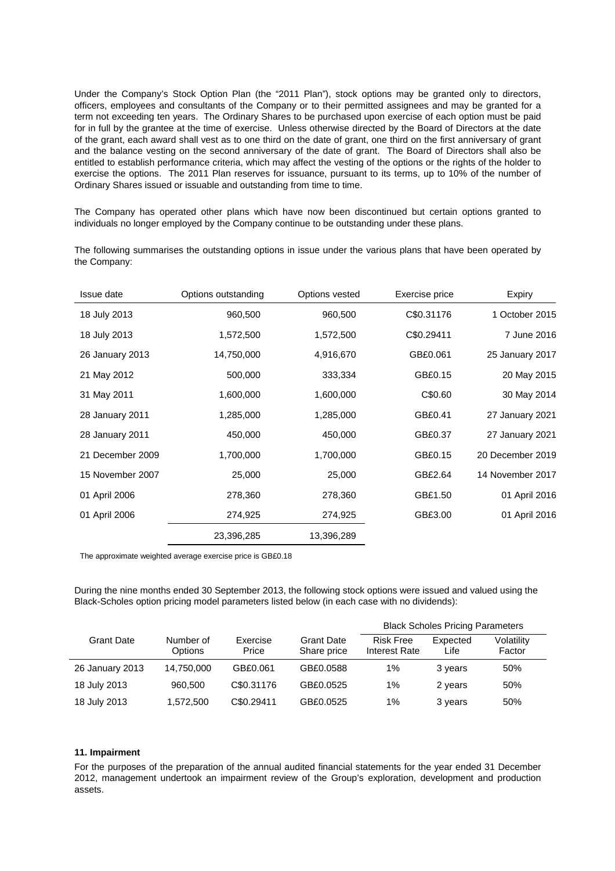Under the Company's Stock Option Plan (the "2011 Plan"), stock options may be granted only to directors, officers, employees and consultants of the Company or to their permitted assignees and may be granted for a term not exceeding ten years. The Ordinary Shares to be purchased upon exercise of each option must be paid for in full by the grantee at the time of exercise. Unless otherwise directed by the Board of Directors at the date of the grant, each award shall vest as to one third on the date of grant, one third on the first anniversary of grant and the balance vesting on the second anniversary of the date of grant. The Board of Directors shall also be entitled to establish performance criteria, which may affect the vesting of the options or the rights of the holder to exercise the options. The 2011 Plan reserves for issuance, pursuant to its terms, up to 10% of the number of Ordinary Shares issued or issuable and outstanding from time to time.

The Company has operated other plans which have now been discontinued but certain options granted to individuals no longer employed by the Company continue to be outstanding under these plans.

The following summarises the outstanding options in issue under the various plans that have been operated by the Company:

| Issue date       | Options outstanding | Options vested | Exercise price | Expiry           |
|------------------|---------------------|----------------|----------------|------------------|
| 18 July 2013     | 960,500             | 960,500        | C\$0.31176     | 1 October 2015   |
| 18 July 2013     | 1,572,500           | 1,572,500      | C\$0.29411     | 7 June 2016      |
| 26 January 2013  | 14,750,000          | 4,916,670      | GB£0.061       | 25 January 2017  |
| 21 May 2012      | 500,000             | 333,334        | GB£0.15        | 20 May 2015      |
| 31 May 2011      | 1,600,000           | 1,600,000      | C\$0.60        | 30 May 2014      |
| 28 January 2011  | 1,285,000           | 1,285,000      | GB£0.41        | 27 January 2021  |
| 28 January 2011  | 450,000             | 450,000        | GB£0.37        | 27 January 2021  |
| 21 December 2009 | 1,700,000           | 1,700,000      | GB£0.15        | 20 December 2019 |
| 15 November 2007 | 25,000              | 25,000         | GB£2.64        | 14 November 2017 |
| 01 April 2006    | 278,360             | 278,360        | GB£1.50        | 01 April 2016    |
| 01 April 2006    | 274,925             | 274,925        | GB£3.00        | 01 April 2016    |
|                  | 23,396,285          | 13,396,289     |                |                  |

The approximate weighted average exercise price is GB£0.18

During the nine months ended 30 September 2013, the following stock options were issued and valued using the Black-Scholes option pricing model parameters listed below (in each case with no dividends):

|                   |                      |                   |                                  |                                   | <b>Black Scholes Pricing Parameters</b> |                      |
|-------------------|----------------------|-------------------|----------------------------------|-----------------------------------|-----------------------------------------|----------------------|
| <b>Grant Date</b> | Number of<br>Options | Exercise<br>Price | <b>Grant Date</b><br>Share price | <b>Risk Free</b><br>Interest Rate | Expected<br>Life                        | Volatility<br>Factor |
| 26 January 2013   | 14,750,000           | GB£0.061          | GB£0.0588                        | 1%                                | 3 years                                 | 50%                  |
| 18 July 2013      | 960,500              | C\$0.31176        | GB£0.0525                        | 1%                                | 2 years                                 | 50%                  |
| 18 July 2013      | 1,572,500            | C\$0.29411        | GB£0.0525                        | 1%                                | 3 years                                 | 50%                  |

### **11. Impairment**

For the purposes of the preparation of the annual audited financial statements for the year ended 31 December 2012, management undertook an impairment review of the Group's exploration, development and production assets.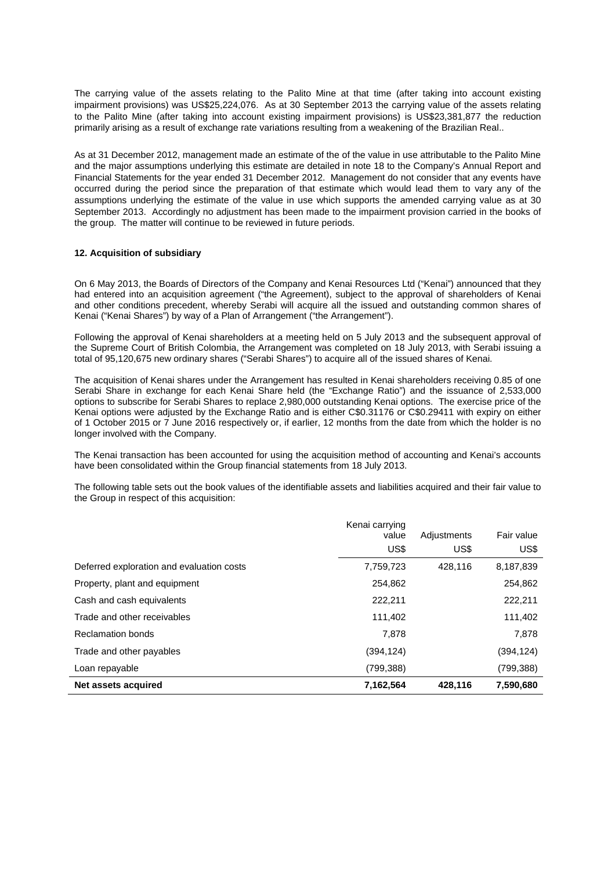The carrying value of the assets relating to the Palito Mine at that time (after taking into account existing impairment provisions) was US\$25,224,076. As at 30 September 2013 the carrying value of the assets relating to the Palito Mine (after taking into account existing impairment provisions) is US\$23,381,877 the reduction primarily arising as a result of exchange rate variations resulting from a weakening of the Brazilian Real..

As at 31 December 2012, management made an estimate of the of the value in use attributable to the Palito Mine and the major assumptions underlying this estimate are detailed in note 18 to the Company's Annual Report and Financial Statements for the year ended 31 December 2012. Management do not consider that any events have occurred during the period since the preparation of that estimate which would lead them to vary any of the assumptions underlying the estimate of the value in use which supports the amended carrying value as at 30 September 2013. Accordingly no adjustment has been made to the impairment provision carried in the books of the group. The matter will continue to be reviewed in future periods.

### **12. Acquisition of subsidiary**

On 6 May 2013, the Boards of Directors of the Company and Kenai Resources Ltd ("Kenai") announced that they had entered into an acquisition agreement ("the Agreement), subject to the approval of shareholders of Kenai and other conditions precedent, whereby Serabi will acquire all the issued and outstanding common shares of Kenai ("Kenai Shares") by way of a Plan of Arrangement ("the Arrangement").

Following the approval of Kenai shareholders at a meeting held on 5 July 2013 and the subsequent approval of the Supreme Court of British Colombia, the Arrangement was completed on 18 July 2013, with Serabi issuing a total of 95,120,675 new ordinary shares ("Serabi Shares") to acquire all of the issued shares of Kenai.

The acquisition of Kenai shares under the Arrangement has resulted in Kenai shareholders receiving 0.85 of one Serabi Share in exchange for each Kenai Share held (the "Exchange Ratio") and the issuance of 2,533,000 options to subscribe for Serabi Shares to replace 2,980,000 outstanding Kenai options. The exercise price of the Kenai options were adjusted by the Exchange Ratio and is either C\$0.31176 or C\$0.29411 with expiry on either of 1 October 2015 or 7 June 2016 respectively or, if earlier, 12 months from the date from which the holder is no longer involved with the Company.

The Kenai transaction has been accounted for using the acquisition method of accounting and Kenai's accounts have been consolidated within the Group financial statements from 18 July 2013.

The following table sets out the book values of the identifiable assets and liabilities acquired and their fair value to the Group in respect of this acquisition:

|                                           | Kenai carrying<br>value<br>US\$ | Adjustments<br>US\$ | Fair value<br>US\$ |
|-------------------------------------------|---------------------------------|---------------------|--------------------|
| Deferred exploration and evaluation costs | 7,759,723                       | 428.116             | 8,187,839          |
| Property, plant and equipment             | 254,862                         |                     | 254,862            |
| Cash and cash equivalents                 | 222,211                         |                     | 222,211            |
| Trade and other receivables               | 111,402                         |                     | 111,402            |
| <b>Reclamation bonds</b>                  | 7,878                           |                     | 7,878              |
| Trade and other payables                  | (394,124)                       |                     | (394, 124)         |
| Loan repayable                            | (799, 388)                      |                     | (799, 388)         |
| Net assets acquired                       | 7,162,564                       | 428,116             | 7,590,680          |